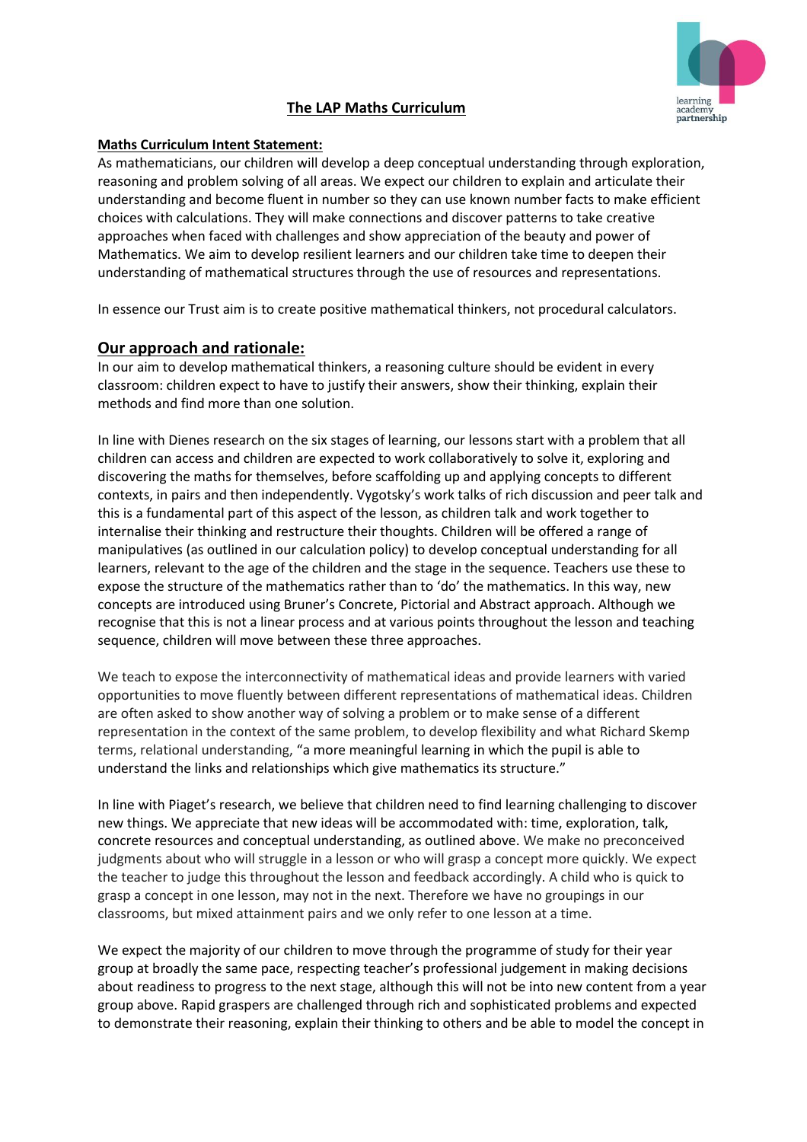

# **The LAP Maths Curriculum**

## **Maths Curriculum Intent Statement:**

As mathematicians, our children will develop a deep conceptual understanding through exploration, reasoning and problem solving of all areas. We expect our children to explain and articulate their understanding and become fluent in number so they can use known number facts to make efficient choices with calculations. They will make connections and discover patterns to take creative approaches when faced with challenges and show appreciation of the beauty and power of Mathematics. We aim to develop resilient learners and our children take time to deepen their understanding of mathematical structures through the use of resources and representations.

In essence our Trust aim is to create positive mathematical thinkers, not procedural calculators.

## **Our approach and rationale:**

In our aim to develop mathematical thinkers, a reasoning culture should be evident in every classroom: children expect to have to justify their answers, show their thinking, explain their methods and find more than one solution.

In line with Dienes research on the six stages of learning, our lessons start with a problem that all children can access and children are expected to work collaboratively to solve it, exploring and discovering the maths for themselves, before scaffolding up and applying concepts to different contexts, in pairs and then independently. Vygotsky's work talks of rich discussion and peer talk and this is a fundamental part of this aspect of the lesson, as children talk and work together to internalise their thinking and restructure their thoughts. Children will be offered a range of manipulatives (as outlined in our calculation policy) to develop conceptual understanding for all learners, relevant to the age of the children and the stage in the sequence. Teachers use these to expose the structure of the mathematics rather than to 'do' the mathematics. In this way, new concepts are introduced using Bruner's Concrete, Pictorial and Abstract approach. Although we recognise that this is not a linear process and at various points throughout the lesson and teaching sequence, children will move between these three approaches.

We teach to expose the interconnectivity of mathematical ideas and provide learners with varied opportunities to move fluently between different representations of mathematical ideas. Children are often asked to show another way of solving a problem or to make sense of a different representation in the context of the same problem, to develop flexibility and what Richard Skemp terms, relational understanding, "a more meaningful learning in which the pupil is able to understand the links and relationships which give mathematics its structure."

In line with Piaget's research, we believe that children need to find learning challenging to discover new things. We appreciate that new ideas will be accommodated with: time, exploration, talk, concrete resources and conceptual understanding, as outlined above. We make no preconceived judgments about who will struggle in a lesson or who will grasp a concept more quickly. We expect the teacher to judge this throughout the lesson and feedback accordingly. A child who is quick to grasp a concept in one lesson, may not in the next. Therefore we have no groupings in our classrooms, but mixed attainment pairs and we only refer to one lesson at a time.

We expect the majority of our children to move through the programme of study for their year group at broadly the same pace, respecting teacher's professional judgement in making decisions about readiness to progress to the next stage, although this will not be into new content from a year group above. Rapid graspers are challenged through rich and sophisticated problems and expected to demonstrate their reasoning, explain their thinking to others and be able to model the concept in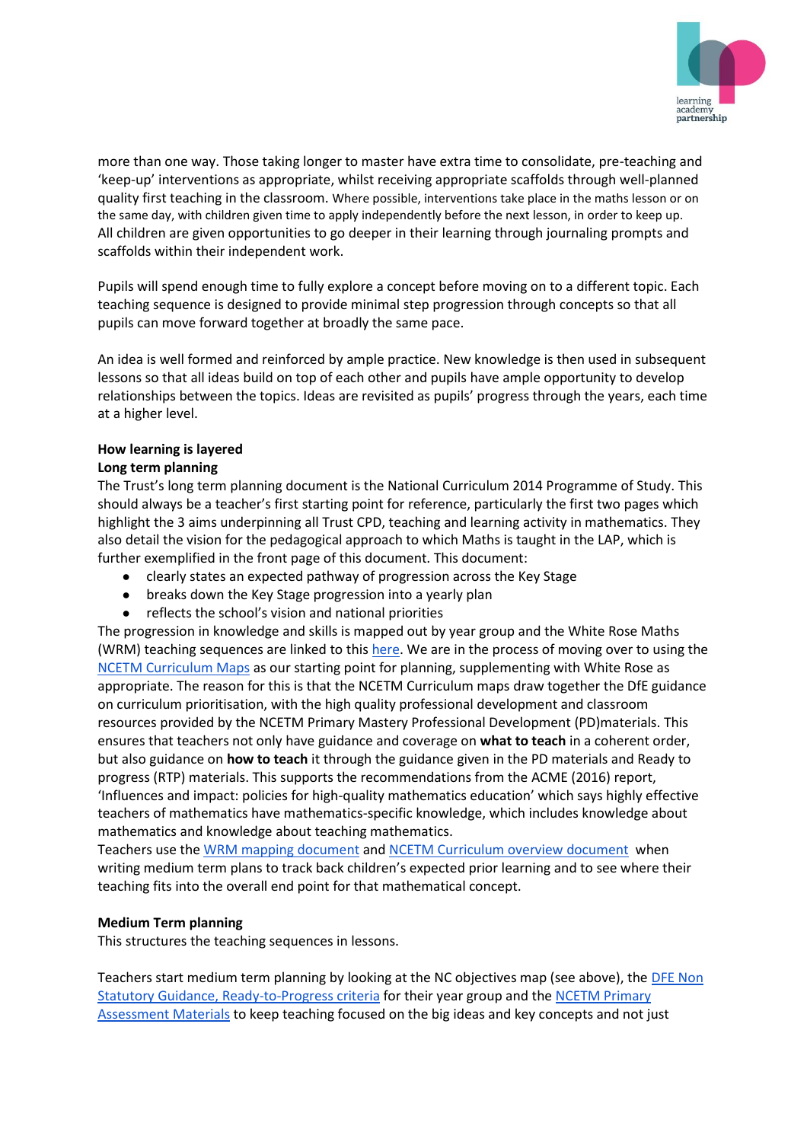

more than one way. Those taking longer to master have extra time to consolidate, pre-teaching and 'keep-up' interventions as appropriate, whilst receiving appropriate scaffolds through well-planned quality first teaching in the classroom. Where possible, interventions take place in the maths lesson or on the same day, with children given time to apply independently before the next lesson, in order to keep up. All children are given opportunities to go deeper in their learning through journaling prompts and scaffolds within their independent work.

Pupils will spend enough time to fully explore a concept before moving on to a different topic. Each teaching sequence is designed to provide minimal step progression through concepts so that all pupils can move forward together at broadly the same pace.

An idea is well formed and reinforced by ample practice. New knowledge is then used in subsequent lessons so that all ideas build on top of each other and pupils have ample opportunity to develop relationships between the topics. Ideas are revisited as pupils' progress through the years, each time at a higher level.

## **How learning is layered**

### **Long term planning**

The Trust's long term planning document is the National Curriculum 2014 Programme of Study. This should always be a teacher's first starting point for reference, particularly the first two pages which highlight the 3 aims underpinning all Trust CPD, teaching and learning activity in mathematics. They also detail the vision for the pedagogical approach to which Maths is taught in the LAP, which is further exemplified in the front page of this document. This document:

- clearly states an expected pathway of progression across the Key Stage
- breaks down the Key Stage progression into a yearly plan
- reflects the school's vision and national priorities

The progression in knowledge and skills is mapped out by year group and the White Rose Maths (WRM) teaching sequences are linked to this [here.](https://whiterosemaths.com/resources/) We are in the process of moving over to using the [NCETM Curriculum Maps](https://www.ncetm.org.uk/classroom-resources/cp-curriculum-prioritisation-in-primary-maths/) as our starting point for planning, supplementing with White Rose as appropriate. The reason for this is that the NCETM Curriculum maps draw together the DfE guidance on curriculum prioritisation, with the high quality professional development and classroom resources provided by the NCETM Primary Mastery Professional Development (PD)materials. This ensures that teachers not only have guidance and coverage on **what to teach** in a coherent order, but also guidance on **how to teach** it through the guidance given in the PD materials and Ready to progress (RTP) materials. This supports the recommendations from the ACME (2016) report, 'Influences and impact: policies for high-quality mathematics education' which says highly effective teachers of mathematics have mathematics-specific knowledge, which includes knowledge about mathematics and knowledge about teaching mathematics.

Teachers use the [WRM mapping document](https://whiterosemaths.com/resources/) and [NCETM Curriculum overview document](https://www.ncetm.org.uk/media/y2di0nmn/cp-overview-years-1-6.pdf) when writing medium term plans to track back children's expected prior learning and to see where their teaching fits into the overall end point for that mathematical concept.

#### **Medium Term planning**

This structures the teaching sequences in lessons.

Teachers start medium term planning by looking at the NC objectives map (see above), the DFE Non [Statutory Guidance, Ready-to-Progress criteria](https://www.gov.uk/government/publications/teaching-mathematics-in-primary-schools) for their year group and th[e NCETM Primary](https://www.ncetm.org.uk/classroom-resources/assessment-materials-primary/)  [Assessment Materials](https://www.ncetm.org.uk/classroom-resources/assessment-materials-primary/) to keep teaching focused on the big ideas and key concepts and not just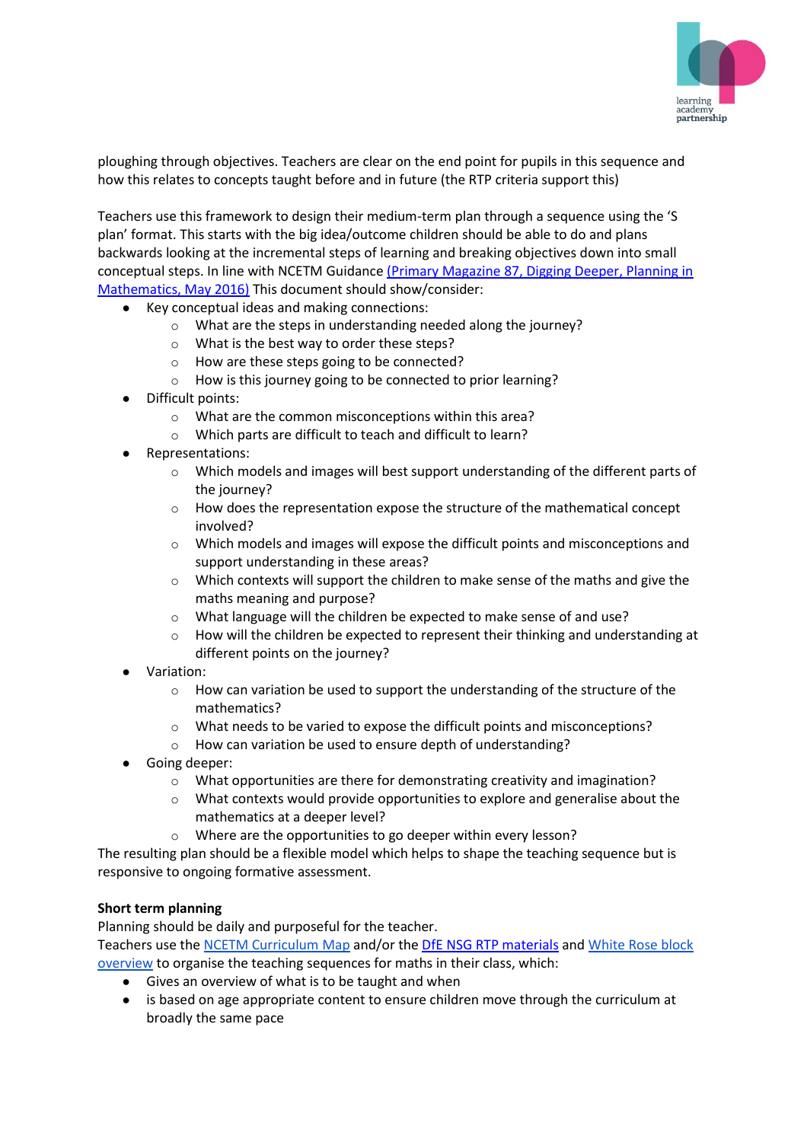

ploughing through objectives. Teachers are clear on the end point for pupils in this sequence and how this relates to concepts taught before and in future (the RTP criteria support this)

Teachers use this framework to design their medium-term plan through a sequence using the 'S plan' format. This starts with the big idea/outcome children should be able to do and plans backwards looking at the incremental steps of learning and breaking objectives down into small conceptual steps. In line with NCETM Guidance [\(Primary Magazine 87, Digging Deeper, Planning in](https://www.ncetm.org.uk/resources/48901)  [Mathematics, May 2016\)](https://www.ncetm.org.uk/resources/48901) This document should show/consider:

- Key conceptual ideas and making connections:
	- o What are the steps in understanding needed along the journey?
	- o What is the best way to order these steps?
	- o How are these steps going to be connected?
	- o How is this journey going to be connected to prior learning?
- Difficult points:
	- o What are the common misconceptions within this area?
	- o Which parts are difficult to teach and difficult to learn?
- Representations:
	- $\circ$  Which models and images will best support understanding of the different parts of the journey?
	- o How does the representation expose the structure of the mathematical concept involved?
	- $\circ$  Which models and images will expose the difficult points and misconceptions and support understanding in these areas?
	- $\circ$  Which contexts will support the children to make sense of the maths and give the maths meaning and purpose?
	- o What language will the children be expected to make sense of and use?
	- $\circ$  How will the children be expected to represent their thinking and understanding at different points on the journey?
- Variation:
	- o How can variation be used to support the understanding of the structure of the mathematics?
	- o What needs to be varied to expose the difficult points and misconceptions?
	- o How can variation be used to ensure depth of understanding?
- Going deeper:
	- o What opportunities are there for demonstrating creativity and imagination?
	- o What contexts would provide opportunities to explore and generalise about the mathematics at a deeper level?
	- o Where are the opportunities to go deeper within every lesson?

The resulting plan should be a flexible model which helps to shape the teaching sequence but is responsive to ongoing formative assessment.

## **Short term planning**

Planning should be daily and purposeful for the teacher.

Teachers use the [NCETM Curriculum](https://www.ncetm.org.uk/classroom-resources/cp-curriculum-prioritisation-in-primary-maths/) [Map](https://www.ncetm.org.uk/classroom-resources/cp-curriculum-prioritisation-in-primary-maths/) and/or the [DfE NSG RTP materials](https://www.ncetm.org.uk/classroom-resources/exemplification-of-ready-to-progress-criteria/) an[d White Rose block](https://whiterosemaths.com/resources/primary-resources/primary-sols/)  [overview](https://whiterosemaths.com/resources/primary-resources/primary-sols/) to organise the teaching sequences for maths in their class, which:

- Gives an overview of what is to be taught and when
- is based on age appropriate content to ensure children move through the curriculum at broadly the same pace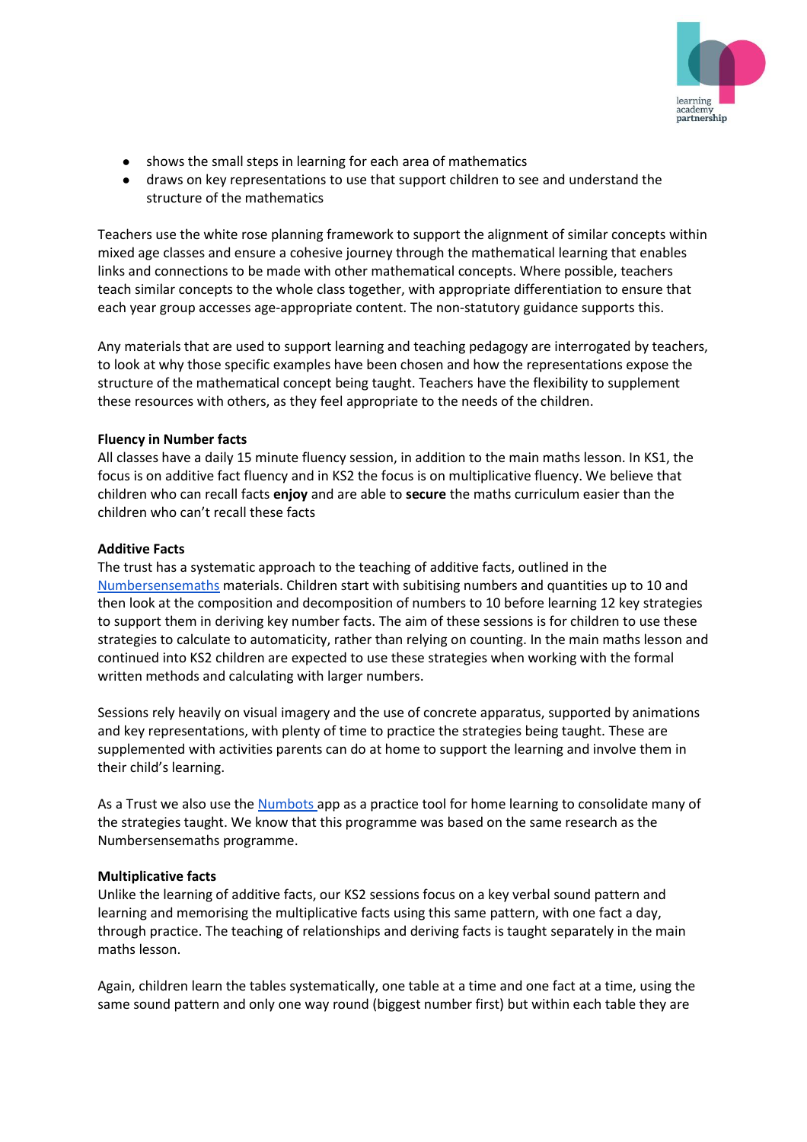

- shows the small steps in learning for each area of mathematics
- draws on key representations to use that support children to see and understand the structure of the mathematics

Teachers use the white rose planning framework to support the alignment of similar concepts within mixed age classes and ensure a cohesive journey through the mathematical learning that enables links and connections to be made with other mathematical concepts. Where possible, teachers teach similar concepts to the whole class together, with appropriate differentiation to ensure that each year group accesses age-appropriate content. The non-statutory guidance supports this.

Any materials that are used to support learning and teaching pedagogy are interrogated by teachers, to look at why those specific examples have been chosen and how the representations expose the structure of the mathematical concept being taught. Teachers have the flexibility to supplement these resources with others, as they feel appropriate to the needs of the children.

#### **Fluency in Number facts**

All classes have a daily 15 minute fluency session, in addition to the main maths lesson. In KS1, the focus is on additive fact fluency and in KS2 the focus is on multiplicative fluency. We believe that children who can recall facts **enjoy** and are able to **secure** the maths curriculum easier than the children who can't recall these facts

#### **Additive Facts**

The trust has a systematic approach to the teaching of additive facts, outlined in the [Numbersensemaths](https://numbersensemaths.com/) materials. Children start with subitising numbers and quantities up to 10 and then look at the composition and decomposition of numbers to 10 before learning 12 key strategies to support them in deriving key number facts. The aim of these sessions is for children to use these strategies to calculate to automaticity, rather than relying on counting. In the main maths lesson and continued into KS2 children are expected to use these strategies when working with the formal written methods and calculating with larger numbers.

Sessions rely heavily on visual imagery and the use of concrete apparatus, supported by animations and key representations, with plenty of time to practice the strategies being taught. These are supplemented with activities parents can do at home to support the learning and involve them in their child's learning.

As a Trust we also use the [Numbots a](https://numbots.com/schools/)pp as a practice tool for home learning to consolidate many of the strategies taught. We know that this programme was based on the same research as the Numbersensemaths programme.

#### **Multiplicative facts**

Unlike the learning of additive facts, our KS2 sessions focus on a key verbal sound pattern and learning and memorising the multiplicative facts using this same pattern, with one fact a day, through practice. The teaching of relationships and deriving facts is taught separately in the main maths lesson.

Again, children learn the tables systematically, one table at a time and one fact at a time, using the same sound pattern and only one way round (biggest number first) but within each table they are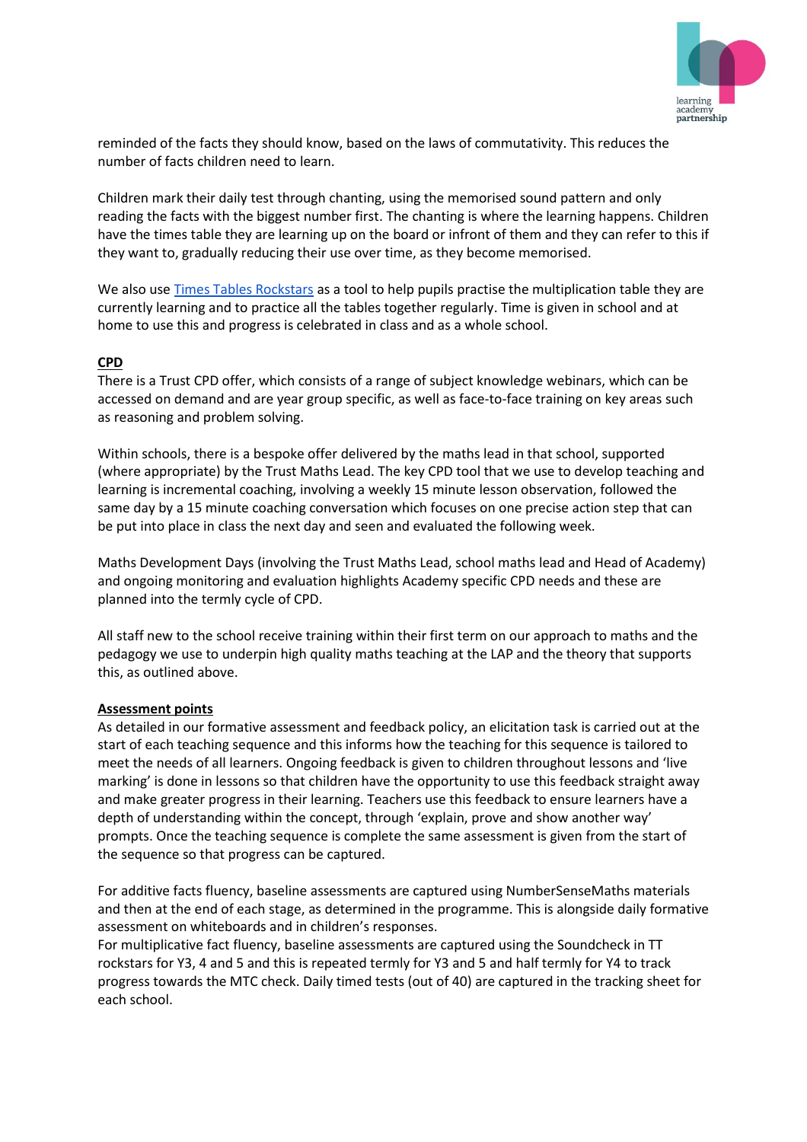

reminded of the facts they should know, based on the laws of commutativity. This reduces the number of facts children need to learn.

Children mark their daily test through chanting, using the memorised sound pattern and only reading the facts with the biggest number first. The chanting is where the learning happens. Children have the times table they are learning up on the board or infront of them and they can refer to this if they want to, gradually reducing their use over time, as they become memorised.

We also use [Times Tables Rockstars](https://ttrockstars.com/) as a tool to help pupils practise the multiplication table they are currently learning and to practice all the tables together regularly. Time is given in school and at home to use this and progress is celebrated in class and as a whole school.

## **CPD**

There is a Trust CPD offer, which consists of a range of subject knowledge webinars, which can be accessed on demand and are year group specific, as well as face-to-face training on key areas such as reasoning and problem solving.

Within schools, there is a bespoke offer delivered by the maths lead in that school, supported (where appropriate) by the Trust Maths Lead. The key CPD tool that we use to develop teaching and learning is incremental coaching, involving a weekly 15 minute lesson observation, followed the same day by a 15 minute coaching conversation which focuses on one precise action step that can be put into place in class the next day and seen and evaluated the following week.

Maths Development Days (involving the Trust Maths Lead, school maths lead and Head of Academy) and ongoing monitoring and evaluation highlights Academy specific CPD needs and these are planned into the termly cycle of CPD.

All staff new to the school receive training within their first term on our approach to maths and the pedagogy we use to underpin high quality maths teaching at the LAP and the theory that supports this, as outlined above.

#### **Assessment points**

As detailed in our formative assessment and feedback policy, an elicitation task is carried out at the start of each teaching sequence and this informs how the teaching for this sequence is tailored to meet the needs of all learners. Ongoing feedback is given to children throughout lessons and 'live marking' is done in lessons so that children have the opportunity to use this feedback straight away and make greater progress in their learning. Teachers use this feedback to ensure learners have a depth of understanding within the concept, through 'explain, prove and show another way' prompts. Once the teaching sequence is complete the same assessment is given from the start of the sequence so that progress can be captured.

For additive facts fluency, baseline assessments are captured using NumberSenseMaths materials and then at the end of each stage, as determined in the programme. This is alongside daily formative assessment on whiteboards and in children's responses.

For multiplicative fact fluency, baseline assessments are captured using the Soundcheck in TT rockstars for Y3, 4 and 5 and this is repeated termly for Y3 and 5 and half termly for Y4 to track progress towards the MTC check. Daily timed tests (out of 40) are captured in the tracking sheet for each school.